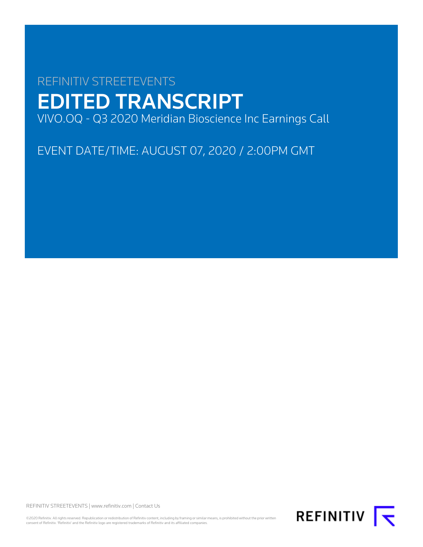# REFINITIV STREETEVENTS EDITED TRANSCRIPT VIVO.OQ - Q3 2020 Meridian Bioscience Inc Earnings Call

EVENT DATE/TIME: AUGUST 07, 2020 / 2:00PM GMT

REFINITIV STREETEVENTS | [www.refinitiv.com](https://www.refinitiv.com/) | [Contact Us](https://www.refinitiv.com/en/contact-us)

©2020 Refinitiv. All rights reserved. Republication or redistribution of Refinitiv content, including by framing or similar means, is prohibited without the prior written consent of Refinitiv. 'Refinitiv' and the Refinitiv logo are registered trademarks of Refinitiv and its affiliated companies.

REFINITIV **K**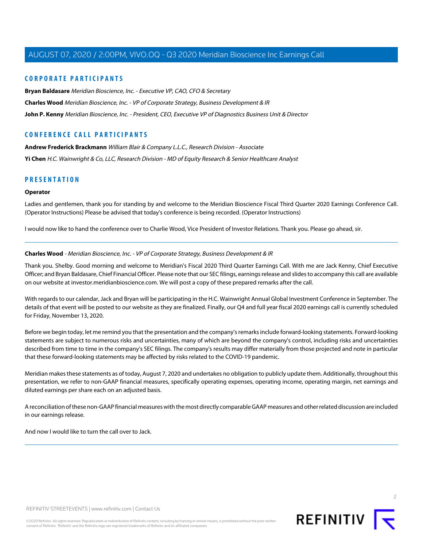## **CORPORATE PARTICIPANTS**

**[Bryan Baldasare](#page-2-0)** Meridian Bioscience, Inc. - Executive VP, CAO, CFO & Secretary

**[Charles Wood](#page-1-0)** Meridian Bioscience, Inc. - VP of Corporate Strategy, Business Development & IR

**[John P. Kenny](#page-2-1)** Meridian Bioscience, Inc. - President, CEO, Executive VP of Diagnostics Business Unit & Director

# **CONFERENCE CALL PARTICIPANTS**

**[Andrew Frederick Brackmann](#page-5-0)** William Blair & Company L.L.C., Research Division - Associate **[Yi Chen](#page-7-0)** H.C. Wainwright & Co, LLC, Research Division - MD of Equity Research & Senior Healthcare Analyst

# **PRESENTATION**

#### **Operator**

Ladies and gentlemen, thank you for standing by and welcome to the Meridian Bioscience Fiscal Third Quarter 2020 Earnings Conference Call. (Operator Instructions) Please be advised that today's conference is being recorded. (Operator Instructions)

<span id="page-1-0"></span>I would now like to hand the conference over to Charlie Wood, Vice President of Investor Relations. Thank you. Please go ahead, sir.

#### **Charles Wood** - Meridian Bioscience, Inc. - VP of Corporate Strategy, Business Development & IR

Thank you. Shelby. Good morning and welcome to Meridian's Fiscal 2020 Third Quarter Earnings Call. With me are Jack Kenny, Chief Executive Officer; and Bryan Baldasare, Chief Financial Officer. Please note that our SEC filings, earnings release and slides to accompany this call are available on our website at investor.meridianbioscience.com. We will post a copy of these prepared remarks after the call.

With regards to our calendar, Jack and Bryan will be participating in the H.C. Wainwright Annual Global Investment Conference in September. The details of that event will be posted to our website as they are finalized. Finally, our Q4 and full year fiscal 2020 earnings call is currently scheduled for Friday, November 13, 2020.

Before we begin today, let me remind you that the presentation and the company's remarks include forward-looking statements. Forward-looking statements are subject to numerous risks and uncertainties, many of which are beyond the company's control, including risks and uncertainties described from time to time in the company's SEC filings. The company's results may differ materially from those projected and note in particular that these forward-looking statements may be affected by risks related to the COVID-19 pandemic.

Meridian makes these statements as of today, August 7, 2020 and undertakes no obligation to publicly update them. Additionally, throughout this presentation, we refer to non-GAAP financial measures, specifically operating expenses, operating income, operating margin, net earnings and diluted earnings per share each on an adjusted basis.

A reconciliation of these non-GAAP financial measures with the most directly comparable GAAP measures and other related discussion are included in our earnings release.

And now I would like to turn the call over to Jack.

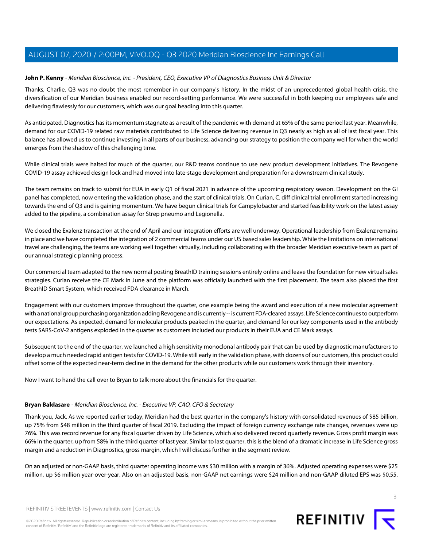#### <span id="page-2-1"></span>**John P. Kenny** - Meridian Bioscience, Inc. - President, CEO, Executive VP of Diagnostics Business Unit & Director

Thanks, Charlie. Q3 was no doubt the most remember in our company's history. In the midst of an unprecedented global health crisis, the diversification of our Meridian business enabled our record-setting performance. We were successful in both keeping our employees safe and delivering flawlessly for our customers, which was our goal heading into this quarter.

As anticipated, Diagnostics has its momentum stagnate as a result of the pandemic with demand at 65% of the same period last year. Meanwhile, demand for our COVID-19 related raw materials contributed to Life Science delivering revenue in Q3 nearly as high as all of last fiscal year. This balance has allowed us to continue investing in all parts of our business, advancing our strategy to position the company well for when the world emerges from the shadow of this challenging time.

While clinical trials were halted for much of the quarter, our R&D teams continue to use new product development initiatives. The Revogene COVID-19 assay achieved design lock and had moved into late-stage development and preparation for a downstream clinical study.

The team remains on track to submit for EUA in early Q1 of fiscal 2021 in advance of the upcoming respiratory season. Development on the GI panel has completed, now entering the validation phase, and the start of clinical trials. On Curian, C. diff clinical trial enrollment started increasing towards the end of Q3 and is gaining momentum. We have begun clinical trials for Campylobacter and started feasibility work on the latest assay added to the pipeline, a combination assay for Strep pneumo and Legionella.

We closed the Exalenz transaction at the end of April and our integration efforts are well underway. Operational leadership from Exalenz remains in place and we have completed the integration of 2 commercial teams under our US based sales leadership. While the limitations on international travel are challenging, the teams are working well together virtually, including collaborating with the broader Meridian executive team as part of our annual strategic planning process.

Our commercial team adapted to the new normal posting BreathID training sessions entirely online and leave the foundation for new virtual sales strategies. Curian receive the CE Mark in June and the platform was officially launched with the first placement. The team also placed the first BreathID Smart System, which received FDA clearance in March.

Engagement with our customers improve throughout the quarter, one example being the award and execution of a new molecular agreement with a national group purchasing organization adding Revogene and is currently -- is current FDA-cleared assays. Life Science continues to outperform our expectations. As expected, demand for molecular products peaked in the quarter, and demand for our key components used in the antibody tests SARS-CoV-2 antigens exploded in the quarter as customers included our products in their EUA and CE Mark assays.

Subsequent to the end of the quarter, we launched a high sensitivity monoclonal antibody pair that can be used by diagnostic manufacturers to develop a much needed rapid antigen tests for COVID-19. While still early in the validation phase, with dozens of our customers, this product could offset some of the expected near-term decline in the demand for the other products while our customers work through their inventory.

<span id="page-2-0"></span>Now I want to hand the call over to Bryan to talk more about the financials for the quarter.

#### **Bryan Baldasare** - Meridian Bioscience, Inc. - Executive VP, CAO, CFO & Secretary

Thank you, Jack. As we reported earlier today, Meridian had the best quarter in the company's history with consolidated revenues of \$85 billion, up 75% from \$48 million in the third quarter of fiscal 2019. Excluding the impact of foreign currency exchange rate changes, revenues were up 76%. This was record revenue for any fiscal quarter driven by Life Science, which also delivered record quarterly revenue. Gross profit margin was 66% in the quarter, up from 58% in the third quarter of last year. Similar to last quarter, this is the blend of a dramatic increase in Life Science gross margin and a reduction in Diagnostics, gross margin, which I will discuss further in the segment review.

On an adjusted or non-GAAP basis, third quarter operating income was \$30 million with a margin of 36%. Adjusted operating expenses were \$25 million, up \$6 million year-over-year. Also on an adjusted basis, non-GAAP net earnings were \$24 million and non-GAAP diluted EPS was \$0.55.

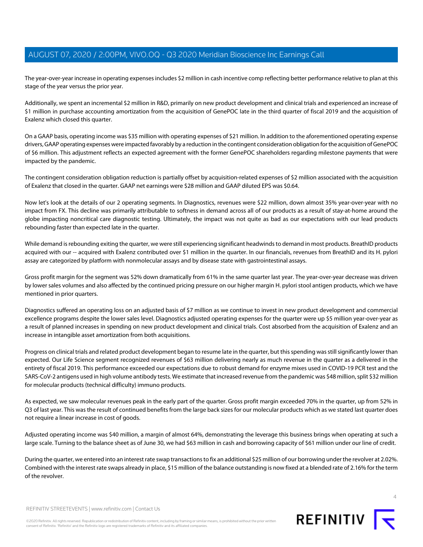The year-over-year increase in operating expenses includes \$2 million in cash incentive comp reflecting better performance relative to plan at this stage of the year versus the prior year.

Additionally, we spent an incremental \$2 million in R&D, primarily on new product development and clinical trials and experienced an increase of \$1 million in purchase accounting amortization from the acquisition of GenePOC late in the third quarter of fiscal 2019 and the acquisition of Exalenz which closed this quarter.

On a GAAP basis, operating income was \$35 million with operating expenses of \$21 million. In addition to the aforementioned operating expense drivers, GAAP operating expenses were impacted favorably by a reduction in the contingent consideration obligation for the acquisition of GenePOC of \$6 million. This adjustment reflects an expected agreement with the former GenePOC shareholders regarding milestone payments that were impacted by the pandemic.

The contingent consideration obligation reduction is partially offset by acquisition-related expenses of \$2 million associated with the acquisition of Exalenz that closed in the quarter. GAAP net earnings were \$28 million and GAAP diluted EPS was \$0.64.

Now let's look at the details of our 2 operating segments. In Diagnostics, revenues were \$22 million, down almost 35% year-over-year with no impact from FX. This decline was primarily attributable to softness in demand across all of our products as a result of stay-at-home around the globe impacting noncritical care diagnostic testing. Ultimately, the impact was not quite as bad as our expectations with our lead products rebounding faster than expected late in the quarter.

While demand is rebounding exiting the quarter, we were still experiencing significant headwinds to demand in most products. BreathID products acquired with our -- acquired with Exalenz contributed over \$1 million in the quarter. In our financials, revenues from BreathID and its H. pylori assay are categorized by platform with nonmolecular assays and by disease state with gastrointestinal assays.

Gross profit margin for the segment was 52% down dramatically from 61% in the same quarter last year. The year-over-year decrease was driven by lower sales volumes and also affected by the continued pricing pressure on our higher margin H. pylori stool antigen products, which we have mentioned in prior quarters.

Diagnostics suffered an operating loss on an adjusted basis of \$7 million as we continue to invest in new product development and commercial excellence programs despite the lower sales level. Diagnostics adjusted operating expenses for the quarter were up \$5 million year-over-year as a result of planned increases in spending on new product development and clinical trials. Cost absorbed from the acquisition of Exalenz and an increase in intangible asset amortization from both acquisitions.

Progress on clinical trials and related product development began to resume late in the quarter, but this spending was still significantly lower than expected. Our Life Science segment recognized revenues of \$63 million delivering nearly as much revenue in the quarter as a delivered in the entirety of fiscal 2019. This performance exceeded our expectations due to robust demand for enzyme mixes used in COVID-19 PCR test and the SARS-CoV-2 antigens used in high volume antibody tests. We estimate that increased revenue from the pandemic was \$48 million, split \$32 million for molecular products (technical difficulty) immuno products.

As expected, we saw molecular revenues peak in the early part of the quarter. Gross profit margin exceeded 70% in the quarter, up from 52% in Q3 of last year. This was the result of continued benefits from the large back sizes for our molecular products which as we stated last quarter does not require a linear increase in cost of goods.

Adjusted operating income was \$40 million, a margin of almost 64%, demonstrating the leverage this business brings when operating at such a large scale. Turning to the balance sheet as of June 30, we had \$63 million in cash and borrowing capacity of \$61 million under our line of credit.

During the quarter, we entered into an interest rate swap transactions to fix an additional \$25 million of our borrowing under the revolver at 2.02%. Combined with the interest rate swaps already in place, \$15 million of the balance outstanding is now fixed at a blended rate of 2.16% for the term of the revolver.

 $\Delta$ 

REFINITIV STREETEVENTS | [www.refinitiv.com](https://www.refinitiv.com/) | [Contact Us](https://www.refinitiv.com/en/contact-us)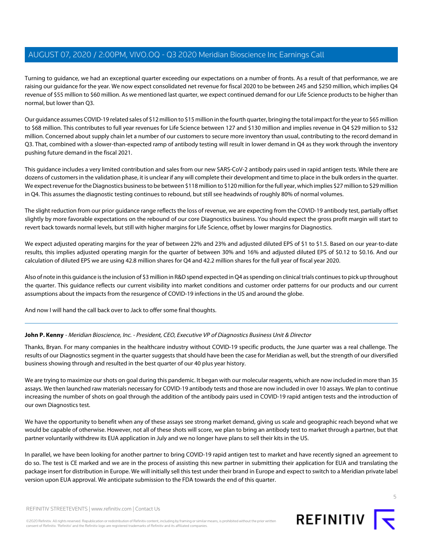Turning to guidance, we had an exceptional quarter exceeding our expectations on a number of fronts. As a result of that performance, we are raising our guidance for the year. We now expect consolidated net revenue for fiscal 2020 to be between 245 and \$250 million, which implies Q4 revenue of \$55 million to \$60 million. As we mentioned last quarter, we expect continued demand for our Life Science products to be higher than normal, but lower than Q3.

Our guidance assumes COVID-19 related sales of \$12 million to \$15 million in the fourth quarter, bringing the total impact for the year to \$65 million to \$68 million. This contributes to full year revenues for Life Science between 127 and \$130 million and implies revenue in Q4 \$29 million to \$32 million. Concerned about supply chain let a number of our customers to secure more inventory than usual, contributing to the record demand in Q3. That, combined with a slower-than-expected ramp of antibody testing will result in lower demand in Q4 as they work through the inventory pushing future demand in the fiscal 2021.

This guidance includes a very limited contribution and sales from our new SARS-CoV-2 antibody pairs used in rapid antigen tests. While there are dozens of customers in the validation phase, it is unclear if any will complete their development and time to place in the bulk orders in the quarter. We expect revenue for the Diagnostics business to be between \$118 million to \$120 million for the full year, which implies \$27 million to \$29 million in Q4. This assumes the diagnostic testing continues to rebound, but still see headwinds of roughly 80% of normal volumes.

The slight reduction from our prior guidance range reflects the loss of revenue, we are expecting from the COVID-19 antibody test, partially offset slightly by more favorable expectations on the rebound of our core Diagnostics business. You should expect the gross profit margin will start to revert back towards normal levels, but still with higher margins for Life Science, offset by lower margins for Diagnostics.

We expect adjusted operating margins for the year of between 22% and 23% and adjusted diluted EPS of \$1 to \$1.5. Based on our year-to-date results, this implies adjusted operating margin for the quarter of between 30% and 16% and adjusted diluted EPS of \$0.12 to \$0.16. And our calculation of diluted EPS we are using 42.8 million shares for Q4 and 42.2 million shares for the full year of fiscal year 2020.

Also of note in this guidance is the inclusion of \$3 million in R&D spend expected in Q4 as spending on clinical trials continues to pick up throughout the quarter. This guidance reflects our current visibility into market conditions and customer order patterns for our products and our current assumptions about the impacts from the resurgence of COVID-19 infections in the US and around the globe.

And now I will hand the call back over to Jack to offer some final thoughts.

# **John P. Kenny** - Meridian Bioscience, Inc. - President, CEO, Executive VP of Diagnostics Business Unit & Director

Thanks, Bryan. For many companies in the healthcare industry without COVID-19 specific products, the June quarter was a real challenge. The results of our Diagnostics segment in the quarter suggests that should have been the case for Meridian as well, but the strength of our diversified business showing through and resulted in the best quarter of our 40 plus year history.

We are trying to maximize our shots on goal during this pandemic. It began with our molecular reagents, which are now included in more than 35 assays. We then launched raw materials necessary for COVID-19 antibody tests and those are now included in over 10 assays. We plan to continue increasing the number of shots on goal through the addition of the antibody pairs used in COVID-19 rapid antigen tests and the introduction of our own Diagnostics test.

We have the opportunity to benefit when any of these assays see strong market demand, giving us scale and geographic reach beyond what we would be capable of otherwise. However, not all of these shots will score, we plan to bring an antibody test to market through a partner, but that partner voluntarily withdrew its EUA application in July and we no longer have plans to sell their kits in the US.

In parallel, we have been looking for another partner to bring COVID-19 rapid antigen test to market and have recently signed an agreement to do so. The test is CE marked and we are in the process of assisting this new partner in submitting their application for EUA and translating the package insert for distribution in Europe. We will initially sell this test under their brand in Europe and expect to switch to a Meridian private label version upon EUA approval. We anticipate submission to the FDA towards the end of this quarter.



REFINITIV STREETEVENTS | [www.refinitiv.com](https://www.refinitiv.com/) | [Contact Us](https://www.refinitiv.com/en/contact-us)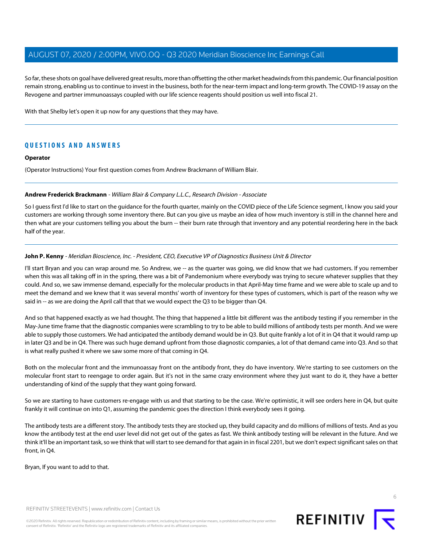So far, these shots on goal have delivered great results, more than offsetting the other market headwinds from this pandemic. Our financial position remain strong, enabling us to continue to invest in the business, both for the near-term impact and long-term growth. The COVID-19 assay on the Revogene and partner immunoassays coupled with our life science reagents should position us well into fiscal 21.

With that Shelby let's open it up now for any questions that they may have.

# **QUESTIONS AND ANSWERS**

#### **Operator**

<span id="page-5-0"></span>(Operator Instructions) Your first question comes from Andrew Brackmann of William Blair.

#### **Andrew Frederick Brackmann** - William Blair & Company L.L.C., Research Division - Associate

So I guess first I'd like to start on the guidance for the fourth quarter, mainly on the COVID piece of the Life Science segment, I know you said your customers are working through some inventory there. But can you give us maybe an idea of how much inventory is still in the channel here and then what are your customers telling you about the burn -- their burn rate through that inventory and any potential reordering here in the back half of the year.

#### **John P. Kenny** - Meridian Bioscience, Inc. - President, CEO, Executive VP of Diagnostics Business Unit & Director

I'll start Bryan and you can wrap around me. So Andrew, we -- as the quarter was going, we did know that we had customers. If you remember when this was all taking off in in the spring, there was a bit of Pandemonium where everybody was trying to secure whatever supplies that they could. And so, we saw immense demand, especially for the molecular products in that April-May time frame and we were able to scale up and to meet the demand and we knew that it was several months' worth of inventory for these types of customers, which is part of the reason why we said in -- as we are doing the April call that that we would expect the Q3 to be bigger than Q4.

And so that happened exactly as we had thought. The thing that happened a little bit different was the antibody testing if you remember in the May-June time frame that the diagnostic companies were scrambling to try to be able to build millions of antibody tests per month. And we were able to supply those customers. We had anticipated the antibody demand would be in Q3. But quite frankly a lot of it in Q4 that it would ramp up in later Q3 and be in Q4. There was such huge demand upfront from those diagnostic companies, a lot of that demand came into Q3. And so that is what really pushed it where we saw some more of that coming in Q4.

Both on the molecular front and the immunoassay front on the antibody front, they do have inventory. We're starting to see customers on the molecular front start to reengage to order again. But it's not in the same crazy environment where they just want to do it, they have a better understanding of kind of the supply that they want going forward.

So we are starting to have customers re-engage with us and that starting to be the case. We're optimistic, it will see orders here in Q4, but quite frankly it will continue on into Q1, assuming the pandemic goes the direction I think everybody sees it going.

The antibody tests are a different story. The antibody tests they are stocked up, they build capacity and do millions of millions of tests. And as you know the antibody test at the end user level did not get out of the gates as fast. We think antibody testing will be relevant in the future. And we think it'll be an important task, so we think that will start to see demand for that again in in fiscal 2201, but we don't expect significant sales on that front, in Q4.

Bryan, If you want to add to that.

REFINITIV STREETEVENTS | [www.refinitiv.com](https://www.refinitiv.com/) | [Contact Us](https://www.refinitiv.com/en/contact-us)

©2020 Refinitiv. All rights reserved. Republication or redistribution of Refinitiv content, including by framing or similar means, is prohibited without the prior written consent of Refinitiv. 'Refinitiv' and the Refinitiv logo are registered trademarks of Refinitiv and its affiliated companies.

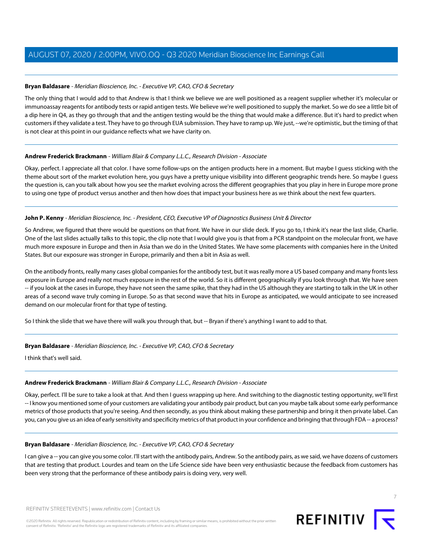## **Bryan Baldasare** - Meridian Bioscience, Inc. - Executive VP, CAO, CFO & Secretary

The only thing that I would add to that Andrew is that I think we believe we are well positioned as a reagent supplier whether it's molecular or immunoassay reagents for antibody tests or rapid antigen tests. We believe we're well positioned to supply the market. So we do see a little bit of a dip here in Q4, as they go through that and the antigen testing would be the thing that would make a difference. But it's hard to predict when customers if they validate a test. They have to go through EUA submission. They have to ramp up. We just, --we're optimistic, but the timing of that is not clear at this point in our guidance reflects what we have clarity on.

#### **Andrew Frederick Brackmann** - William Blair & Company L.L.C., Research Division - Associate

Okay, perfect. I appreciate all that color. I have some follow-ups on the antigen products here in a moment. But maybe I guess sticking with the theme about sort of the market evolution here, you guys have a pretty unique visibility into different geographic trends here. So maybe I guess the question is, can you talk about how you see the market evolving across the different geographies that you play in here in Europe more prone to using one type of product versus another and then how does that impact your business here as we think about the next few quarters.

#### **John P. Kenny** - Meridian Bioscience, Inc. - President, CEO, Executive VP of Diagnostics Business Unit & Director

So Andrew, we figured that there would be questions on that front. We have in our slide deck. If you go to, I think it's near the last slide, Charlie. One of the last slides actually talks to this topic, the clip note that I would give you is that from a PCR standpoint on the molecular front, we have much more exposure in Europe and then in Asia than we do in the United States. We have some placements with companies here in the United States. But our exposure was stronger in Europe, primarily and then a bit in Asia as well.

On the antibody fronts, really many cases global companies for the antibody test, but it was really more a US based company and many fronts less exposure in Europe and really not much exposure in the rest of the world. So it is different geographically if you look through that. We have seen -- if you look at the cases in Europe, they have not seen the same spike, that they had in the US although they are starting to talk in the UK in other areas of a second wave truly coming in Europe. So as that second wave that hits in Europe as anticipated, we would anticipate to see increased demand on our molecular front for that type of testing.

So I think the slide that we have there will walk you through that, but -- Bryan if there's anything I want to add to that.

# **Bryan Baldasare** - Meridian Bioscience, Inc. - Executive VP, CAO, CFO & Secretary

I think that's well said.

# **Andrew Frederick Brackmann** - William Blair & Company L.L.C., Research Division - Associate

Okay, perfect. I'll be sure to take a look at that. And then I guess wrapping up here. And switching to the diagnostic testing opportunity, we'll first -- I know you mentioned some of your customers are validating your antibody pair product, but can you maybe talk about some early performance metrics of those products that you're seeing. And then secondly, as you think about making these partnership and bring it then private label. Can you, can you give us an idea of early sensitivity and specificity metrics of that product in your confidence and bringing that through FDA -- a process?

#### **Bryan Baldasare** - Meridian Bioscience, Inc. - Executive VP, CAO, CFO & Secretary

I can give a -- you can give you some color. I'll start with the antibody pairs, Andrew. So the antibody pairs, as we said, we have dozens of customers that are testing that product. Lourdes and team on the Life Science side have been very enthusiastic because the feedback from customers has been very strong that the performance of these antibody pairs is doing very, very well.



7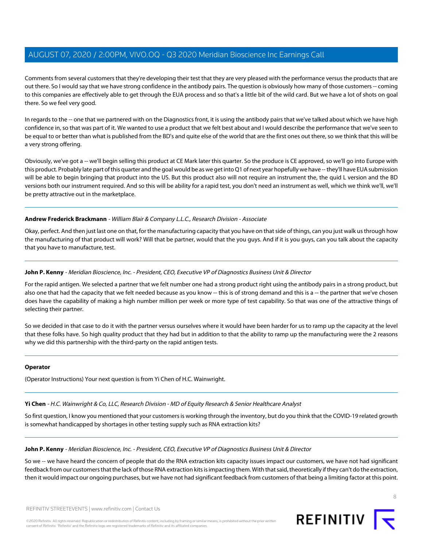Comments from several customers that they're developing their test that they are very pleased with the performance versus the products that are out there. So I would say that we have strong confidence in the antibody pairs. The question is obviously how many of those customers -- coming to this companies are effectively able to get through the EUA process and so that's a little bit of the wild card. But we have a lot of shots on goal there. So we feel very good.

In regards to the -- one that we partnered with on the Diagnostics front, it is using the antibody pairs that we've talked about which we have high confidence in, so that was part of it. We wanted to use a product that we felt best about and I would describe the performance that we've seen to be equal to or better than what is published from the BD's and quite else of the world that are the first ones out there, so we think that this will be a very strong offering.

Obviously, we've got a -- we'll begin selling this product at CE Mark later this quarter. So the produce is CE approved, so we'll go into Europe with this product. Probably late part of this quarter and the goal would be as we get into Q1 of next year hopefully we have -- they'll have EUA submission will be able to begin bringing that product into the US. But this product also will not require an instrument the, the quid L version and the BD versions both our instrument required. And so this will be ability for a rapid test, you don't need an instrument as well, which we think we'll, we'll be pretty attractive out in the marketplace.

## **Andrew Frederick Brackmann** - William Blair & Company L.L.C., Research Division - Associate

Okay, perfect. And then just last one on that, for the manufacturing capacity that you have on that side of things, can you just walk us through how the manufacturing of that product will work? Will that be partner, would that the you guys. And if it is you guys, can you talk about the capacity that you have to manufacture, test.

## **John P. Kenny** - Meridian Bioscience, Inc. - President, CEO, Executive VP of Diagnostics Business Unit & Director

For the rapid antigen. We selected a partner that we felt number one had a strong product right using the antibody pairs in a strong product, but also one that had the capacity that we felt needed because as you know -- this is of strong demand and this is a -- the partner that we've chosen does have the capability of making a high number million per week or more type of test capability. So that was one of the attractive things of selecting their partner.

So we decided in that case to do it with the partner versus ourselves where it would have been harder for us to ramp up the capacity at the level that these folks have. So high quality product that they had but in addition to that the ability to ramp up the manufacturing were the 2 reasons why we did this partnership with the third-party on the rapid antigen tests.

#### <span id="page-7-0"></span>**Operator**

(Operator Instructions) Your next question is from Yi Chen of H.C. Wainwright.

# **Yi Chen** - H.C. Wainwright & Co, LLC, Research Division - MD of Equity Research & Senior Healthcare Analyst

So first question, I know you mentioned that your customers is working through the inventory, but do you think that the COVID-19 related growth is somewhat handicapped by shortages in other testing supply such as RNA extraction kits?

**John P. Kenny** - Meridian Bioscience, Inc. - President, CEO, Executive VP of Diagnostics Business Unit & Director

So we -- we have heard the concern of people that do the RNA extraction kits capacity issues impact our customers, we have not had significant feedback from our customers that the lack of those RNA extraction kits is impacting them. With that said, theoretically if they can't do the extraction, then it would impact our ongoing purchases, but we have not had significant feedback from customers of that being a limiting factor at this point.

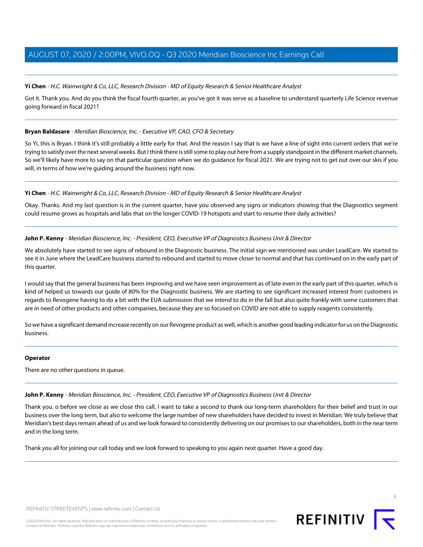#### **Yi Chen** - H.C. Wainwright & Co, LLC, Research Division - MD of Equity Research & Senior Healthcare Analyst

Got it. Thank you. And do you think the fiscal fourth quarter, as you've got it was serve as a baseline to understand quarterly Life Science revenue going forward in fiscal 2021?

#### **Bryan Baldasare** - Meridian Bioscience, Inc. - Executive VP, CAO, CFO & Secretary

So Yi, this is Bryan. I think it's still probably a little early for that. And the reason I say that is we have a line of sight into current orders that we're trying to satisfy over the next several weeks. But I think there is still some to play out here from a supply standpoint in the different market channels. So we'll likely have more to say on that particular question when we do guidance for fiscal 2021. We are trying not to get out over our skis if you will, in terms of how we're guiding around the business right now.

#### **Yi Chen** - H.C. Wainwright & Co, LLC, Research Division - MD of Equity Research & Senior Healthcare Analyst

Okay. Thanks. And my last question is in the current quarter, have you observed any signs or indicators showing that the Diagnostics segment could resume grows as hospitals and labs that on the longer COVID-19 hotspots and start to resume their daily activities?

#### **John P. Kenny** - Meridian Bioscience, Inc. - President, CEO, Executive VP of Diagnostics Business Unit & Director

We absolutely have started to see signs of rebound in the Diagnostic business. The initial sign we mentioned was under LeadCare. We started to see it in June where the LeadCare business started to rebound and started to move closer to normal and that has continued on in the early part of this quarter.

I would say that the general business has been improving and we have seen improvement as of late even in the early part of this quarter, which is kind of helped us towards our guide of 80% for the Diagnostic business. We are starting to see significant increased interest from customers in regards to Revogene having to do a bit with the EUA submission that we intend to do in the fall but also quite frankly with some customers that are in need of other products and other companies, because they are so focused on COVID are not able to supply reagents consistently.

So we have a significant demand increase recently on our Revogene product as well, which is another good leading indicator for us on the Diagnostic business.

#### **Operator**

There are no other questions in queue.

#### **John P. Kenny** - Meridian Bioscience, Inc. - President, CEO, Executive VP of Diagnostics Business Unit & Director

Thank you. o before we close as we close this call, I want to take a second to thank our long-term shareholders for their belief and trust in our business over the long term, but also to welcome the large number of new shareholders have decided to invest in Meridian. We truly believe that Meridian's best days remain ahead of us and we look forward to consistently delivering on our promises to our shareholders, both in the near term and in the long term.

Thank you all for joining our call today and we look forward to speaking to you again next quarter. Have a good day.